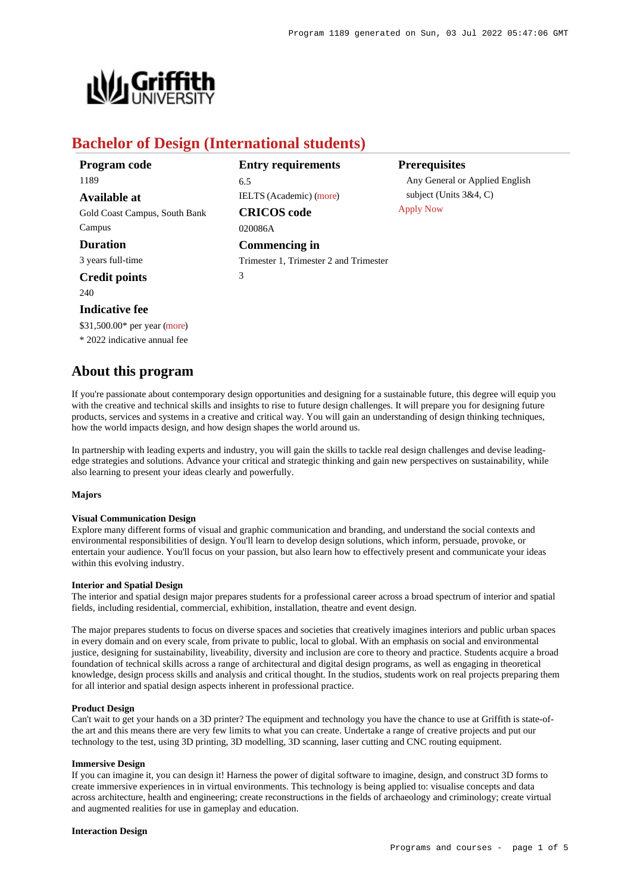

# **Bachelor of Design (International students)**

| Program code                  | <b>Entry requirements</b>              | <b>Prerequisites</b>           |
|-------------------------------|----------------------------------------|--------------------------------|
| 1189                          | 6.5                                    | Any General or Applied English |
| <b>Available at</b>           | IELTS (Academic) (more)                | subject (Units $3&4, C$ )      |
| Gold Coast Campus, South Bank | <b>CRICOS</b> code                     | <b>Apply Now</b>               |
| Campus                        | 020086A                                |                                |
| <b>Duration</b>               | Commencing in                          |                                |
| 3 years full-time             | Trimester 1, Trimester 2 and Trimester |                                |
| <b>Credit points</b>          | 3                                      |                                |
| 240                           |                                        |                                |

# **Indicative fee**

\$31,500.00\* per year [\(more](https://www148.griffith.edu.au/programs-courses/Program/1189/Overview/International#fees))

\* 2022 indicative annual fee

# **About this program**

If you're passionate about contemporary design opportunities and designing for a sustainable future, this degree will equip you with the creative and technical skills and insights to rise to future design challenges. It will prepare you for designing future products, services and systems in a creative and critical way. You will gain an understanding of design thinking techniques, how the world impacts design, and how design shapes the world around us.

In partnership with leading experts and industry, you will gain the skills to tackle real design challenges and devise leadingedge strategies and solutions. Advance your critical and strategic thinking and gain new perspectives on sustainability, while also learning to present your ideas clearly and powerfully.

## **Majors**

## **Visual Communication Design**

Explore many different forms of visual and graphic communication and branding, and understand the social contexts and environmental responsibilities of design. You'll learn to develop design solutions, which inform, persuade, provoke, or entertain your audience. You'll focus on your passion, but also learn how to effectively present and communicate your ideas within this evolving industry.

#### **Interior and Spatial Design**

The interior and spatial design major prepares students for a professional career across a broad spectrum of interior and spatial fields, including residential, commercial, exhibition, installation, theatre and event design.

The major prepares students to focus on diverse spaces and societies that creatively imagines interiors and public urban spaces in every domain and on every scale, from private to public, local to global. With an emphasis on social and environmental justice, designing for sustainability, liveability, diversity and inclusion are core to theory and practice. Students acquire a broad foundation of technical skills across a range of architectural and digital design programs, as well as engaging in theoretical knowledge, design process skills and analysis and critical thought. In the studios, students work on real projects preparing them for all interior and spatial design aspects inherent in professional practice.

#### **Product Design**

Can't wait to get your hands on a 3D printer? The equipment and technology you have the chance to use at Griffith is state-ofthe art and this means there are very few limits to what you can create. Undertake a range of creative projects and put our technology to the test, using 3D printing, 3D modelling, 3D scanning, laser cutting and CNC routing equipment.

#### **Immersive Design**

If you can imagine it, you can design it! Harness the power of digital software to imagine, design, and construct 3D forms to create immersive experiences in in virtual environments. This technology is being applied to: visualise concepts and data across architecture, health and engineering; create reconstructions in the fields of archaeology and criminology; create virtual and augmented realities for use in gameplay and education.

#### **Interaction Design**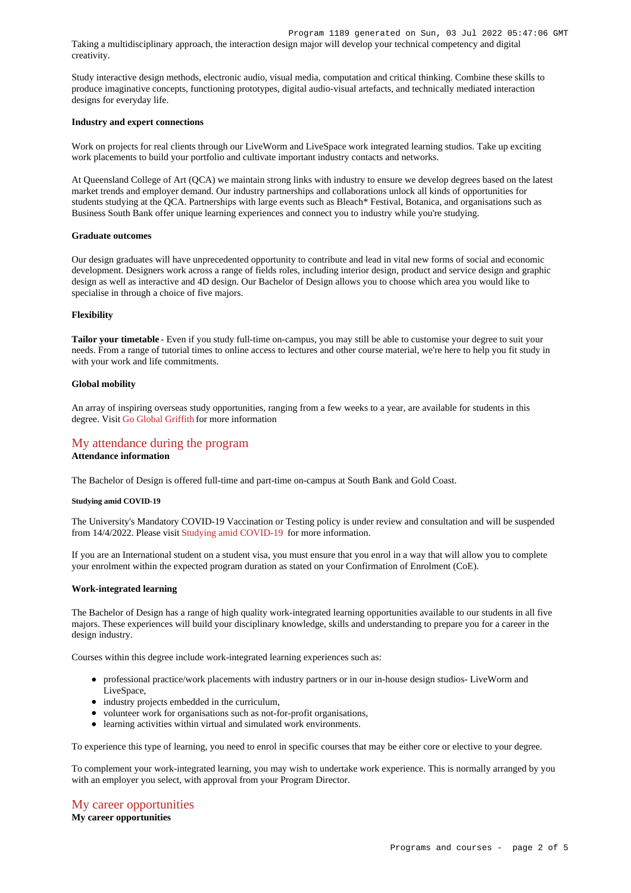Taking a multidisciplinary approach, the interaction design major will develop your technical competency and digital creativity.

Study interactive design methods, electronic audio, visual media, computation and critical thinking. Combine these skills to produce imaginative concepts, functioning prototypes, digital audio-visual artefacts, and technically mediated interaction designs for everyday life.

## **Industry and expert connections**

Work on projects for real clients through our LiveWorm and LiveSpace work integrated learning studios. Take up exciting work placements to build your portfolio and cultivate important industry contacts and networks.

At Queensland College of Art (QCA) we maintain strong links with industry to ensure we develop degrees based on the latest market trends and employer demand. Our industry partnerships and collaborations unlock all kinds of opportunities for students studying at the QCA. Partnerships with large events such as Bleach\* Festival, Botanica, and organisations such as Business South Bank offer unique learning experiences and connect you to industry while you're studying.

#### **Graduate outcomes**

Our design graduates will have unprecedented opportunity to contribute and lead in vital new forms of social and economic development. Designers work across a range of fields roles, including interior design, product and service design and graphic design as well as interactive and 4D design. Our Bachelor of Design allows you to choose which area you would like to specialise in through a choice of five majors.

#### **Flexibility**

**Tailor your timetable** - Even if you study full-time on-campus, you may still be able to customise your degree to suit your needs. From a range of tutorial times to online access to lectures and other course material, we're here to help you fit study in with your work and life commitments.

#### **Global mobility**

An array of inspiring overseas study opportunities, ranging from a few weeks to a year, are available for students in this degree. Visit [Go Global Griffith](https://www.griffith.edu.au/go-global) for more information

# [My attendance during the program](https://www148.griffith.edu.au/programs-courses/Program/1189/Overview/International#attendance)

## **Attendance information**

The Bachelor of Design is offered full-time and part-time on-campus at South Bank and Gold Coast.

#### **Studying amid COVID-19**

The University's Mandatory COVID-19 Vaccination or Testing policy is under review and consultation and will be suspended from 14/4/2022. Please visit [Studying amid COVID-19](https://www.griffith.edu.au/coronavirus/studying-amid-covid-19) for more information.

If you are an International student on a student visa, you must ensure that you enrol in a way that will allow you to complete your enrolment within the expected program duration as stated on your Confirmation of Enrolment (CoE).

#### **Work-integrated learning**

The Bachelor of Design has a range of high quality work-integrated learning opportunities available to our students in all five majors. These experiences will build your disciplinary knowledge, skills and understanding to prepare you for a career in the design industry.

Courses within this degree include work-integrated learning experiences such as:

- professional practice/work placements with industry partners or in our in-house design studios- LiveWorm and LiveSpace,
- industry projects embedded in the curriculum,
- volunteer work for organisations such as not-for-profit organisations,
- learning activities within virtual and simulated work environments.

To experience this type of learning, you need to enrol in specific courses that may be either core or elective to your degree.

To complement your work-integrated learning, you may wish to undertake work experience. This is normally arranged by you with an employer you select, with approval from your Program Director.

# [My career opportunities](https://www148.griffith.edu.au/programs-courses/Program/1189/Overview/International#opportunities) **My career opportunities**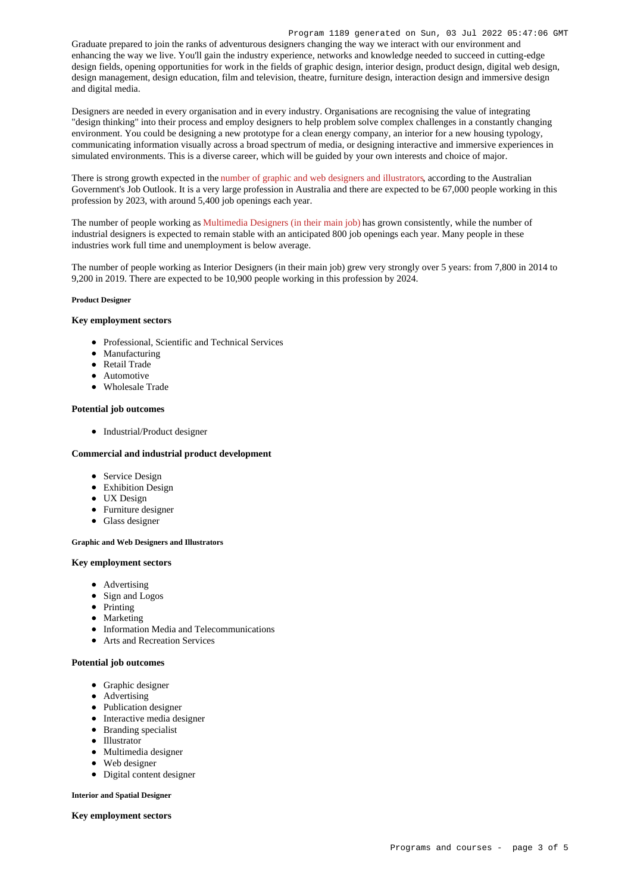Graduate prepared to join the ranks of adventurous designers changing the way we interact with our environment and enhancing the way we live. You'll gain the industry experience, networks and knowledge needed to succeed in cutting-edge design fields, opening opportunities for work in the fields of graphic design, interior design, product design, digital web design, design management, design education, film and television, theatre, furniture design, interaction design and immersive design and digital media.

Designers are needed in every organisation and in every industry. Organisations are recognising the value of integrating "design thinking" into their process and employ designers to help problem solve complex challenges in a constantly changing environment. You could be designing a new prototype for a clean energy company, an interior for a new housing typology, communicating information visually across a broad spectrum of media, or designing interactive and immersive experiences in simulated environments. This is a diverse career, which will be guided by your own interests and choice of major.

There is strong growth expected in the [number of graphic and web designers and illustrators](https://joboutlook.gov.au/Occupation?search=Career&code=2324), according to the Australian Government's Job Outlook. It is a very large profession in Australia and there are expected to be 67,000 people working in this profession by 2023, with around 5,400 job openings each year.

The number of people working as [Multimedia Designers \(in their main job\)](https://joboutlook.gov.au/occupations/multimedia-designers?occupationCode=232413) has grown consistently, while the number of industrial designers is expected to remain stable with an anticipated 800 job openings each year. Many people in these industries work full time and unemployment is below average.

The number of people working as Interior Designers (in their main job) grew very strongly over 5 years: from 7,800 in 2014 to 9,200 in 2019. There are expected to be 10,900 people working in this profession by 2024.

#### **Product Designer**

## **Key employment sectors**

- Professional, Scientific and Technical Services
- Manufacturing
- Retail Trade
- Automotive
- Wholesale Trade

#### **Potential job outcomes**

• Industrial/Product designer

#### **Commercial and industrial product development**

- Service Design
- Exhibition Design
- UX Design
- Furniture designer
- Glass designer

## **Graphic and Web Designers and Illustrators**

## **Key employment sectors**

- Advertising
- Sign and Logos
- Printing
- Marketing
- Information Media and Telecommunications
- Arts and Recreation Services

#### **Potential job outcomes**

- Graphic designer
- Advertising
- Publication designer
- Interactive media designer
- Branding specialist
- Illustrator
- Multimedia designer
- Web designer
- Digital content designer

## **Interior and Spatial Designer**

**Key employment sectors**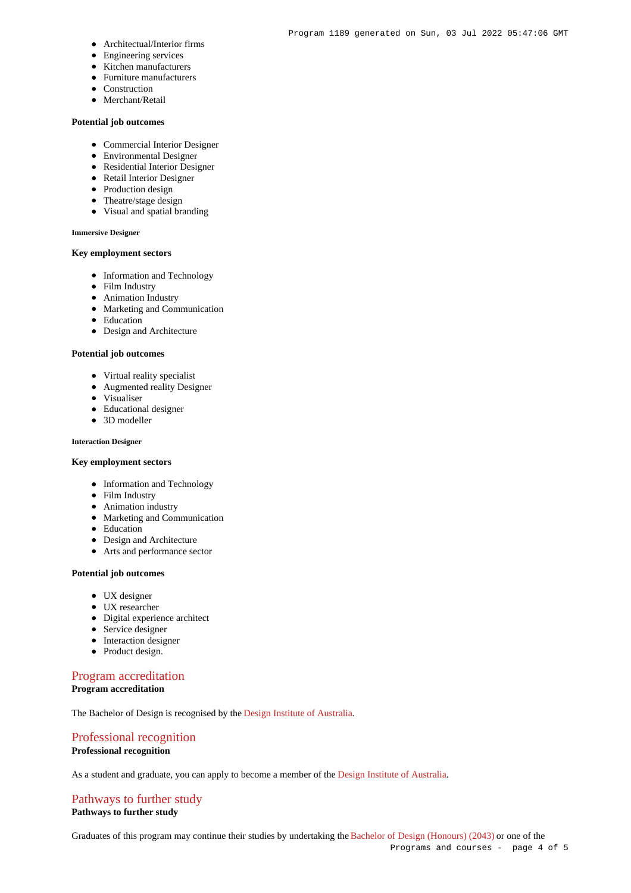- Architectual/Interior firms
- Engineering services
- Kitchen manufacturers
- Furniture manufacturers
- Construction
- Merchant/Retail

# **Potential job outcomes**

- Commercial Interior Designer
- Environmental Designer
- Residential Interior Designer
- Retail Interior Designer
- Production design
- Theatre/stage design
- Visual and spatial branding

#### **Immersive Designer**

# **Key employment sectors**

- Information and Technology
- Film Industry
- Animation Industry
- Marketing and Communication
- Education
- Design and Architecture

## **Potential job outcomes**

- Virtual reality specialist
- Augmented reality Designer
- Visualiser
- Educational designer
- 3D modeller

# **Interaction Designer**

## **Key employment sectors**

- Information and Technology
- Film Industry
- Animation industry
- Marketing and Communication
- Education
- Design and Architecture
- Arts and performance sector

## **Potential job outcomes**

- UX designer
- UX researcher
- Digital experience architect
- Service designer
- Interaction designer
- Product design.

# [Program accreditation](https://www148.griffith.edu.au/programs-courses/Program/1189/Overview/International#accreditation)

# **Program accreditation**

The Bachelor of Design is recognised by the [Design Institute of Australia](http://www.dia.org.au/).

# [Professional recognition](https://www148.griffith.edu.au/programs-courses/Program/1189/Overview/International#recognition) **Professional recognition**

As a student and graduate, you can apply to become a member of the [Design Institute of Australia](http://www.dia.org.au/).

# [Pathways to further study](https://www148.griffith.edu.au/programs-courses/Program/1189/Overview/International#pathways) **Pathways to further study**

Graduates of this program may continue their studies by undertaking the [Bachelor of Design \(Honours\) \(2043\)](https://www148.griffith.edu.au/Search/Results?SearchText=2043) or one of the Programs and courses - page 4 of 5